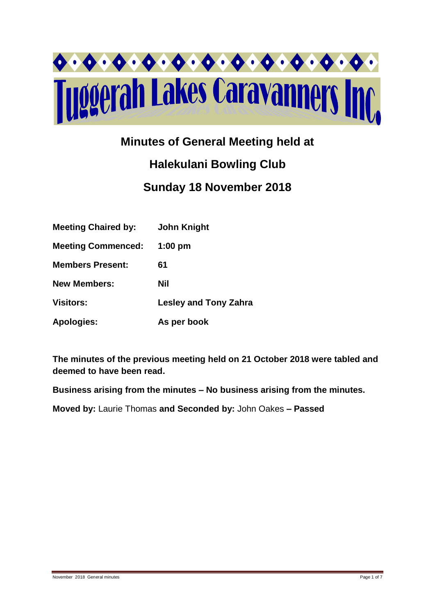

# **Minutes of General Meeting held at**

# **Halekulani Bowling Club Sunday 18 November 2018**

| <b>Meeting Chaired by:</b> | <b>John Knight</b>           |
|----------------------------|------------------------------|
| <b>Meeting Commenced:</b>  | $1:00$ pm                    |
| <b>Members Present:</b>    | 61                           |
| <b>New Members:</b>        | Nil                          |
| <b>Visitors:</b>           | <b>Lesley and Tony Zahra</b> |
| <b>Apologies:</b>          | As per book                  |

**The minutes of the previous meeting held on 21 October 2018 were tabled and deemed to have been read.**

**Business arising from the minutes – No business arising from the minutes.**

**Moved by:** Laurie Thomas **and Seconded by:** John Oakes **– Passed**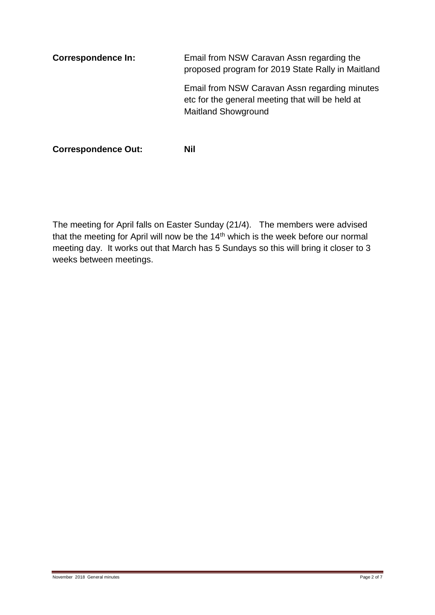**Correspondence In:** Email from NSW Caravan Assn regarding the proposed program for 2019 State Rally in Maitland Email from NSW Caravan Assn regarding minutes etc for the general meeting that will be held at Maitland Showground

**Correspondence Out: Nil**

The meeting for April falls on Easter Sunday (21/4). The members were advised that the meeting for April will now be the 14<sup>th</sup> which is the week before our normal meeting day. It works out that March has 5 Sundays so this will bring it closer to 3 weeks between meetings.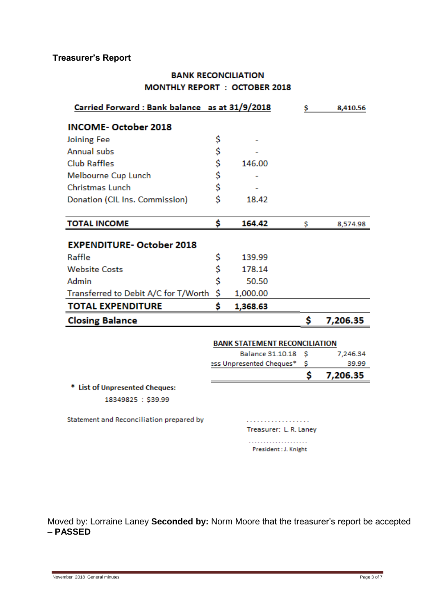# **Treasurer's Report**

# **BANK RECONCILIATION MONTHLY REPORT : OCTOBER 2018**

| Carried Forward: Bank balance as at 31/9/2018 |    |                                      | s  | 8,410.56 |
|-----------------------------------------------|----|--------------------------------------|----|----------|
| <b>INCOME-October 2018</b>                    |    |                                      |    |          |
| Joining Fee                                   | \$ |                                      |    |          |
| Annual subs                                   | \$ |                                      |    |          |
| <b>Club Raffles</b>                           | \$ | 146.00                               |    |          |
| Melbourne Cup Lunch                           | \$ |                                      |    |          |
| Christmas Lunch                               | \$ |                                      |    |          |
| Donation (CIL Ins. Commission)                | Ś  | 18.42                                |    |          |
|                                               |    |                                      |    |          |
| <b>TOTAL INCOME</b>                           | \$ | 164.42                               | \$ | 8,574.98 |
| <b>EXPENDITURE- October 2018</b>              |    |                                      |    |          |
| Raffle                                        | \$ | 139.99                               |    |          |
| <b>Website Costs</b>                          | \$ | 178.14                               |    |          |
| Admin                                         | \$ | 50.50                                |    |          |
| Transferred to Debit A/C for T/Worth          | \$ | 1,000.00                             |    |          |
| <b>TOTAL EXPENDITURE</b>                      | \$ | 1,368.63                             |    |          |
| <b>Closing Balance</b>                        |    |                                      | \$ | 7,206.35 |
|                                               |    | <b>BANK STATEMENT RECONCILIATION</b> |    |          |

|                                      |     | 7,206.35 |
|--------------------------------------|-----|----------|
| ess Unpresented Cheques*             |     | 39.99    |
| Balance 31.10.18                     | - s | 7.246.34 |
| <b>BANK STATEMENT RECONCILIATION</b> |     |          |

\* List of Unpresented Cheques:

18349825: \$39.99

Statement and Reconciliation prepared by

. . . . . . . . . . . . . . . . . . Treasurer: L. R. Laney

. . . . . . . . . . . . . . . . . . . . President: J. Knight

Moved by: Lorraine Laney **Seconded by:** Norm Moore that the treasurer's report be accepted **– PASSED**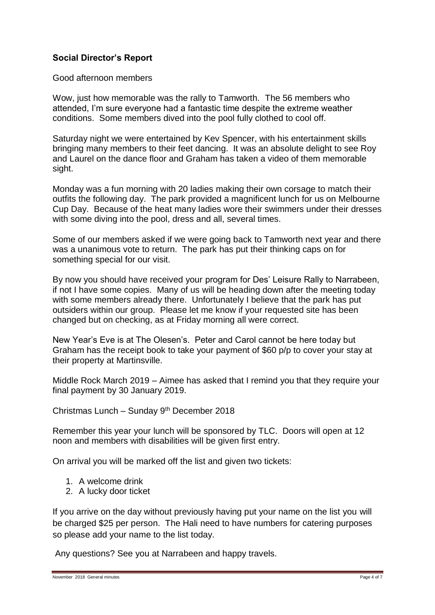# **Social Director's Report**

Good afternoon members

Wow, just how memorable was the rally to Tamworth. The 56 members who attended, I'm sure everyone had a fantastic time despite the extreme weather conditions. Some members dived into the pool fully clothed to cool off.

Saturday night we were entertained by Kev Spencer, with his entertainment skills bringing many members to their feet dancing. It was an absolute delight to see Roy and Laurel on the dance floor and Graham has taken a video of them memorable sight.

Monday was a fun morning with 20 ladies making their own corsage to match their outfits the following day. The park provided a magnificent lunch for us on Melbourne Cup Day. Because of the heat many ladies wore their swimmers under their dresses with some diving into the pool, dress and all, several times.

Some of our members asked if we were going back to Tamworth next year and there was a unanimous vote to return. The park has put their thinking caps on for something special for our visit.

By now you should have received your program for Des' Leisure Rally to Narrabeen, if not I have some copies. Many of us will be heading down after the meeting today with some members already there. Unfortunately I believe that the park has put outsiders within our group. Please let me know if your requested site has been changed but on checking, as at Friday morning all were correct.

New Year's Eve is at The Olesen's. Peter and Carol cannot be here today but Graham has the receipt book to take your payment of \$60 p/p to cover your stay at their property at Martinsville.

Middle Rock March 2019 – Aimee has asked that I remind you that they require your final payment by 30 January 2019.

Christmas Lunch – Sunday 9th December 2018

Remember this year your lunch will be sponsored by TLC. Doors will open at 12 noon and members with disabilities will be given first entry.

On arrival you will be marked off the list and given two tickets:

- 1. A welcome drink
- 2. A lucky door ticket

If you arrive on the day without previously having put your name on the list you will be charged \$25 per person. The Hali need to have numbers for catering purposes so please add your name to the list today.

Any questions? See you at Narrabeen and happy travels.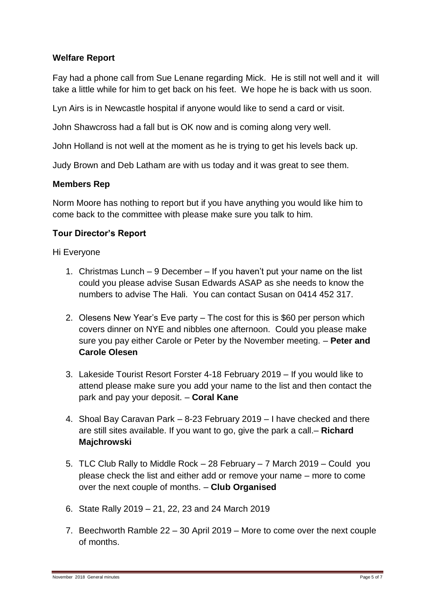# **Welfare Report**

Fay had a phone call from Sue Lenane regarding Mick. He is still not well and it will take a little while for him to get back on his feet. We hope he is back with us soon.

Lyn Airs is in Newcastle hospital if anyone would like to send a card or visit.

John Shawcross had a fall but is OK now and is coming along very well.

John Holland is not well at the moment as he is trying to get his levels back up.

Judy Brown and Deb Latham are with us today and it was great to see them.

#### **Members Rep**

Norm Moore has nothing to report but if you have anything you would like him to come back to the committee with please make sure you talk to him.

#### **Tour Director's Report**

Hi Everyone

- 1. Christmas Lunch 9 December If you haven't put your name on the list could you please advise Susan Edwards ASAP as she needs to know the numbers to advise The Hali. You can contact Susan on 0414 452 317.
- 2. Olesens New Year's Eve party The cost for this is \$60 per person which covers dinner on NYE and nibbles one afternoon. Could you please make sure you pay either Carole or Peter by the November meeting. – **Peter and Carole Olesen**
- 3. Lakeside Tourist Resort Forster 4-18 February 2019 If you would like to attend please make sure you add your name to the list and then contact the park and pay your deposit. – **Coral Kane**
- 4. Shoal Bay Caravan Park 8-23 February 2019 I have checked and there are still sites available. If you want to go, give the park a call.– **Richard Majchrowski**
- 5. TLC Club Rally to Middle Rock 28 February 7 March 2019 Could you please check the list and either add or remove your name – more to come over the next couple of months. – **Club Organised**
- 6. State Rally 2019 21, 22, 23 and 24 March 2019
- 7. Beechworth Ramble 22 30 April 2019 More to come over the next couple of months.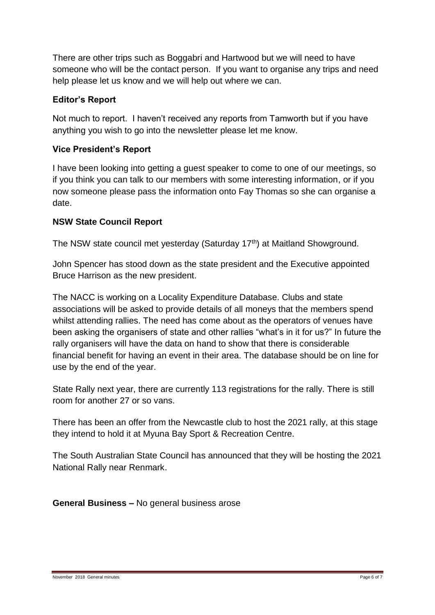There are other trips such as Boggabri and Hartwood but we will need to have someone who will be the contact person. If you want to organise any trips and need help please let us know and we will help out where we can.

# **Editor's Report**

Not much to report. I haven't received any reports from Tamworth but if you have anything you wish to go into the newsletter please let me know.

# **Vice President's Report**

I have been looking into getting a guest speaker to come to one of our meetings, so if you think you can talk to our members with some interesting information, or if you now someone please pass the information onto Fay Thomas so she can organise a date.

# **NSW State Council Report**

The NSW state council met yesterday (Saturday 17<sup>th</sup>) at Maitland Showground.

John Spencer has stood down as the state president and the Executive appointed Bruce Harrison as the new president.

The NACC is working on a Locality Expenditure Database. Clubs and state associations will be asked to provide details of all moneys that the members spend whilst attending rallies. The need has come about as the operators of venues have been asking the organisers of state and other rallies "what's in it for us?" In future the rally organisers will have the data on hand to show that there is considerable financial benefit for having an event in their area. The database should be on line for use by the end of the year.

State Rally next year, there are currently 113 registrations for the rally. There is still room for another 27 or so vans.

There has been an offer from the Newcastle club to host the 2021 rally, at this stage they intend to hold it at Myuna Bay Sport & Recreation Centre.

The South Australian State Council has announced that they will be hosting the 2021 National Rally near Renmark.

**General Business –** No general business arose